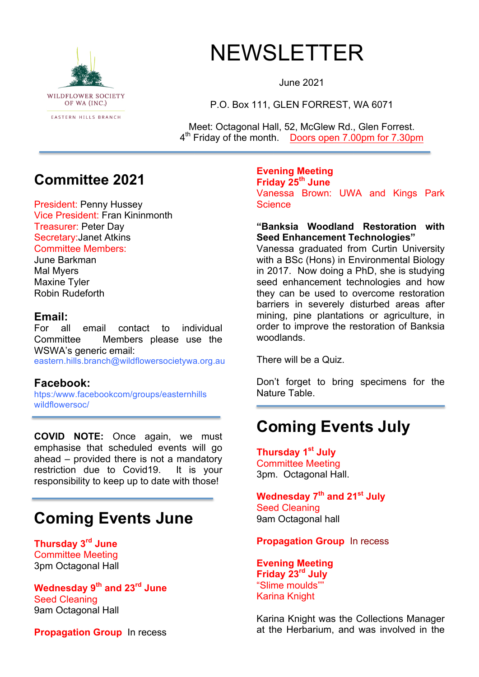

# NEWSLETTER

June 2021

P.O. Box 111, GLEN FORREST, WA 6071

Meet: Octagonal Hall, 52, McGlew Rd., Glen Forrest. 4th Friday of the month. Doors open 7.00pm for 7.30pm

### **Committee 2021**

President: Penny Hussey Vice President: Fran Kininmonth Treasurer: Peter Day Secretary:Janet Atkins Committee Members:

June Barkman Mal Myers Maxine Tyler Robin Rudeforth

### **Email:**

For all email contact to individual Committee Members please use the WSWA's generic email:

eastern.hills.branch@wildflowersocietywa.org.au

### **Facebook:**

htps:/www.facebookcom/groups/easternhills wildflowersoc/

**COVID NOTE:** Once again, we must emphasise that scheduled events will go ahead – provided there is not a mandatory restriction due to Covid19. It is your responsibility to keep up to date with those!

## **Coming Events June**

**Thursday 3rd June** Committee Meeting 3pm Octagonal Hall

**Wednesday 9th and 23rd June** Seed Cleaning 9am Octagonal Hall

**Propagation Group** In recess

#### **Evening Meeting Friday 25th June**

Vanessa Brown: UWA and Kings Park **Science** 

### **"Banksia Woodland Restoration with Seed Enhancement Technologies"**

Vanessa graduated from Curtin University with a BSc (Hons) in Environmental Biology in 2017. Now doing a PhD, she is studying seed enhancement technologies and how they can be used to overcome restoration barriers in severely disturbed areas after mining, pine plantations or agriculture, in order to improve the restoration of Banksia woodlands.

There will be a Quiz.

Don't forget to bring specimens for the Nature Table.

## **Coming Events July**

**Thursday 1st July** Committee Meeting 3pm. Octagonal Hall.

**Wednesday 7th and 21st July** Seed Cleaning 9am Octagonal hall

### **Propagation Group** In recess

**Evening Meeting Friday 23rd July** "Slime moulds"" Karina Knight

Karina Knight was the Collections Manager at the Herbarium, and was involved in the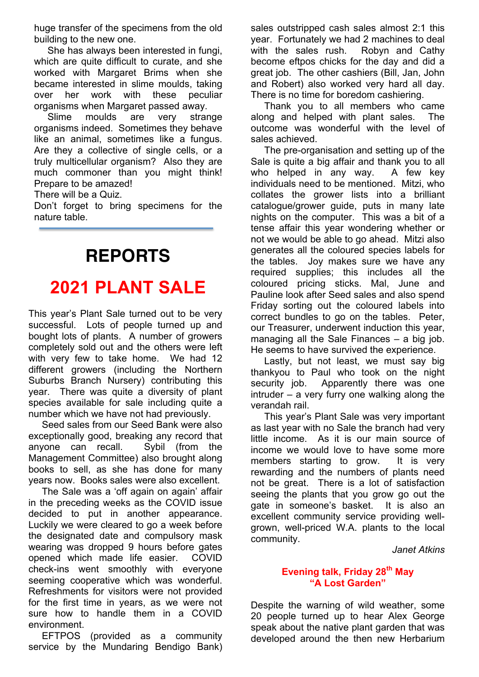huge transfer of the specimens from the old building to the new one.

 She has always been interested in fungi, which are quite difficult to curate, and she worked with Margaret Brims when she became interested in slime moulds, taking over her work with these peculiar organisms when Margaret passed away.

 Slime moulds are very strange organisms indeed. Sometimes they behave like an animal, sometimes like a fungus. Are they a collective of single cells, or a truly multicellular organism? Also they are much commoner than you might think! Prepare to be amazed!

There will be a Quiz.

Don't forget to bring specimens for the nature table.

## **REPORTS**

## **2021 PLANT SALE**

This year's Plant Sale turned out to be very successful. Lots of people turned up and bought lots of plants. A number of growers completely sold out and the others were left with very few to take home. We had 12 different growers (including the Northern Suburbs Branch Nursery) contributing this year. There was quite a diversity of plant species available for sale including quite a number which we have not had previously.

 Seed sales from our Seed Bank were also exceptionally good, breaking any record that anyone can recall. Sybil (from the Management Committee) also brought along books to sell, as she has done for many years now. Books sales were also excellent.

 The Sale was a 'off again on again' affair in the preceding weeks as the COVID issue decided to put in another appearance. Luckily we were cleared to go a week before the designated date and compulsory mask wearing was dropped 9 hours before gates opened which made life easier. COVID check-ins went smoothly with everyone seeming cooperative which was wonderful. Refreshments for visitors were not provided for the first time in years, as we were not sure how to handle them in a COVID environment.

 EFTPOS (provided as a community service by the Mundaring Bendigo Bank) sales outstripped cash sales almost 2:1 this year. Fortunately we had 2 machines to deal with the sales rush. Robyn and Cathy become eftpos chicks for the day and did a great job. The other cashiers (Bill, Jan, John and Robert) also worked very hard all day. There is no time for boredom cashiering.

 Thank you to all members who came along and helped with plant sales. The outcome was wonderful with the level of sales achieved.

 The pre-organisation and setting up of the Sale is quite a big affair and thank you to all who helped in any way. A few key individuals need to be mentioned. Mitzi, who collates the grower lists into a brilliant catalogue/grower guide, puts in many late nights on the computer. This was a bit of a tense affair this year wondering whether or not we would be able to go ahead. Mitzi also generates all the coloured species labels for the tables. Joy makes sure we have any required supplies; this includes all the coloured pricing sticks. Mal, June and Pauline look after Seed sales and also spend Friday sorting out the coloured labels into correct bundles to go on the tables. Peter, our Treasurer, underwent induction this year, managing all the Sale Finances – a big job. He seems to have survived the experience.

 Lastly, but not least, we must say big thankyou to Paul who took on the night security job. Apparently there was one intruder – a very furry one walking along the verandah rail.

 This year's Plant Sale was very important as last year with no Sale the branch had very little income. As it is our main source of income we would love to have some more members starting to grow. It is very rewarding and the numbers of plants need not be great. There is a lot of satisfaction seeing the plants that you grow go out the gate in someone's basket. It is also an excellent community service providing wellgrown, well-priced W.A. plants to the local community.

#### *Janet Atkins*

### **Evening talk, Friday 28th May "A Lost Garden"**

Despite the warning of wild weather, some 20 people turned up to hear Alex George speak about the native plant garden that was developed around the then new Herbarium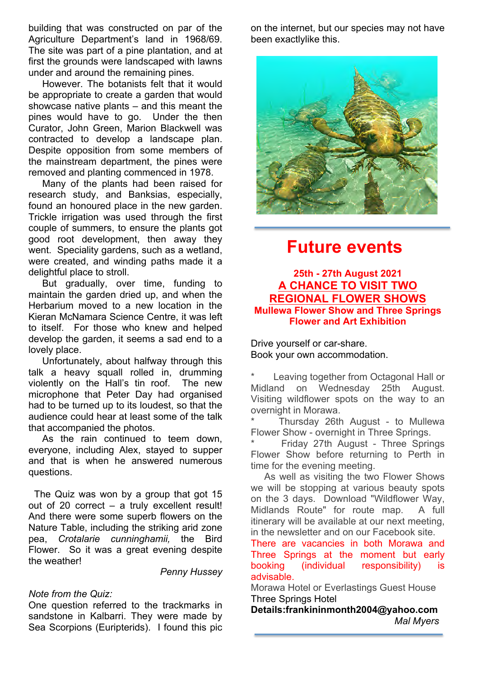building that was constructed on par of the Agriculture Department's land in 1968/69. The site was part of a pine plantation, and at first the grounds were landscaped with lawns under and around the remaining pines.

 However. The botanists felt that it would be appropriate to create a garden that would showcase native plants – and this meant the pines would have to go. Under the then Curator, John Green, Marion Blackwell was contracted to develop a landscape plan. Despite opposition from some members of the mainstream department, the pines were removed and planting commenced in 1978.

 Many of the plants had been raised for research study, and Banksias, especially, found an honoured place in the new garden. Trickle irrigation was used through the first couple of summers, to ensure the plants got good root development, then away they went. Speciality gardens, such as a wetland, were created, and winding paths made it a delightful place to stroll.

 But gradually, over time, funding to maintain the garden dried up, and when the Herbarium moved to a new location in the Kieran McNamara Science Centre, it was left to itself. For those who knew and helped develop the garden, it seems a sad end to a lovely place.

 Unfortunately, about halfway through this talk a heavy squall rolled in, drumming violently on the Hall's tin roof. The new microphone that Peter Day had organised had to be turned up to its loudest, so that the audience could hear at least some of the talk that accompanied the photos.

 As the rain continued to teem down, everyone, including Alex, stayed to supper and that is when he answered numerous questions.

The Quiz was won by a group that got 15 out of 20 correct – a truly excellent result! And there were some superb flowers on the Nature Table, including the striking arid zone pea, *Crotalarie cunninghamii,* the Bird Flower. So it was a great evening despite the weather!

*Penny Hussey*

### *Note from the Quiz:*

One question referred to the trackmarks in sandstone in Kalbarri. They were made by Sea Scorpions (Euripterids). I found this pic

on the internet, but our species may not have been exactlylike this.



### **Future events**

### **25th - 27th August 2021 A CHANCE TO VISIT TWO REGIONAL FLOWER SHOWS Mullewa Flower Show and Three Springs Flower and Art Exhibition**

Drive yourself or car-share. Book your own accommodation.

Leaving together from Octagonal Hall or Midland on Wednesday 25th August. Visiting wildflower spots on the way to an overnight in Morawa.

Thursday 26th August - to Mullewa Flower Show - overnight in Three Springs.

Friday 27th August - Three Springs Flower Show before returning to Perth in time for the evening meeting.

 As well as visiting the two Flower Shows we will be stopping at various beauty spots on the 3 days. Download "Wildflower Way, Midlands Route" for route map. A full itinerary will be available at our next meeting, in the newsletter and on our Facebook site.

There are vacancies in both Morawa and Three Springs at the moment but early booking (individual responsibility) is advisable.

Morawa Hotel or Everlastings Guest House Three Springs Hotel

**Details:frankininmonth2004@yahoo.com** *Mal Myers*